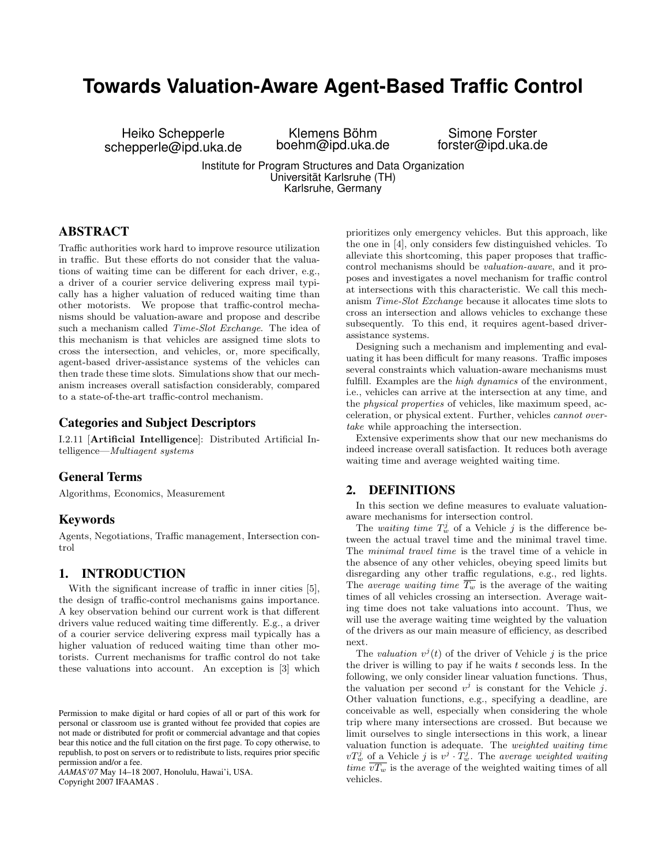# **Towards Valuation-Aware Agent-Based Traffic Control**

Heiko Schepperle schepperle@ipd.uka.de

Klemens Böhm boehm@ipd.uka.de

Simone Forster forster@ipd.uka.de

Institute for Program Structures and Data Organization Universität Karlsruhe (TH) Karlsruhe, Germany

# ABSTRACT

Traffic authorities work hard to improve resource utilization in traffic. But these efforts do not consider that the valuations of waiting time can be different for each driver, e.g., a driver of a courier service delivering express mail typically has a higher valuation of reduced waiting time than other motorists. We propose that traffic-control mechanisms should be valuation-aware and propose and describe such a mechanism called *Time-Slot Exchange*. The idea of this mechanism is that vehicles are assigned time slots to cross the intersection, and vehicles, or, more specifically, agent-based driver-assistance systems of the vehicles can then trade these time slots. Simulations show that our mechanism increases overall satisfaction considerably, compared to a state-of-the-art traffic-control mechanism.

# Categories and Subject Descriptors

I.2.11 [Artificial Intelligence]: Distributed Artificial Intelligence—Multiagent systems

### General Terms

Algorithms, Economics, Measurement

### Keywords

Agents, Negotiations, Traffic management, Intersection control

# 1. INTRODUCTION

With the significant increase of traffic in inner cities [5], the design of traffic-control mechanisms gains importance. A key observation behind our current work is that different drivers value reduced waiting time differently. E.g., a driver of a courier service delivering express mail typically has a higher valuation of reduced waiting time than other motorists. Current mechanisms for traffic control do not take these valuations into account. An exception is [3] which

*AAMAS'07* May 14–18 2007, Honolulu, Hawai'i, USA. Copyright 2007 IFAAMAS .

prioritizes only emergency vehicles. But this approach, like the one in [4], only considers few distinguished vehicles. To alleviate this shortcoming, this paper proposes that trafficcontrol mechanisms should be valuation-aware, and it proposes and investigates a novel mechanism for traffic control at intersections with this characteristic. We call this mechanism Time-Slot Exchange because it allocates time slots to cross an intersection and allows vehicles to exchange these subsequently. To this end, it requires agent-based driverassistance systems.

Designing such a mechanism and implementing and evaluating it has been difficult for many reasons. Traffic imposes several constraints which valuation-aware mechanisms must fulfill. Examples are the *high dynamics* of the environment, i.e., vehicles can arrive at the intersection at any time, and the physical properties of vehicles, like maximum speed, acceleration, or physical extent. Further, vehicles cannot overtake while approaching the intersection.

Extensive experiments show that our new mechanisms do indeed increase overall satisfaction. It reduces both average waiting time and average weighted waiting time.

# 2. DEFINITIONS

In this section we define measures to evaluate valuationaware mechanisms for intersection control.

The waiting time  $T_w^j$  of a Vehicle j is the difference between the actual travel time and the minimal travel time. The minimal travel time is the travel time of a vehicle in the absence of any other vehicles, obeying speed limits but disregarding any other traffic regulations, e.g., red lights. The *average waiting time*  $\overline{T_w}$  is the average of the waiting times of all vehicles crossing an intersection. Average waiting time does not take valuations into account. Thus, we will use the average waiting time weighted by the valuation of the drivers as our main measure of efficiency, as described next.

The valuation  $v^j(t)$  of the driver of Vehicle j is the price the driver is willing to pay if he waits  $t$  seconds less. In the following, we only consider linear valuation functions. Thus, the valuation per second  $v^j$  is constant for the Vehicle j. Other valuation functions, e.g., specifying a deadline, are conceivable as well, especially when considering the whole trip where many intersections are crossed. But because we limit ourselves to single intersections in this work, a linear valuation function is adequate. The weighted waiting time  $v T_w^j$  of a Vehicle j is  $v^j \cdot T_w^j$ . The average weighted waiting time  $\overline{v_{w}}$  is the average of the weighted waiting times of all vehicles.

Permission to make digital or hard copies of all or part of this work for personal or classroom use is granted without fee provided that copies are not made or distributed for profit or commercial advantage and that copies bear this notice and the full citation on the first page. To copy otherwise, to republish, to post on servers or to redistribute to lists, requires prior specific permission and/or a fee.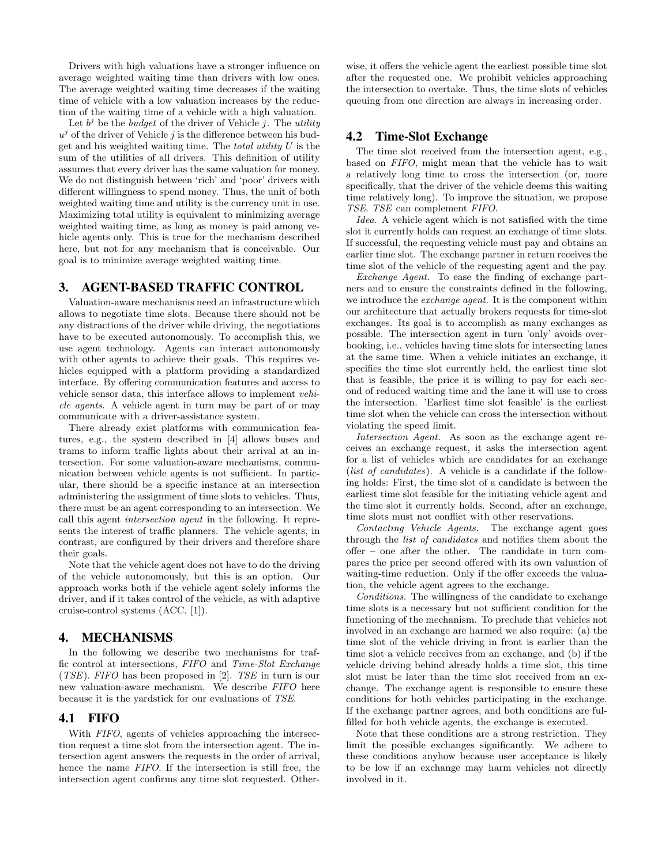Drivers with high valuations have a stronger influence on average weighted waiting time than drivers with low ones. The average weighted waiting time decreases if the waiting time of vehicle with a low valuation increases by the reduction of the waiting time of a vehicle with a high valuation.

Let  $b^j$  be the *budget* of the driver of Vehicle j. The *utility*  $u^j$  of the driver of Vehicle j is the difference between his budget and his weighted waiting time. The *total utility*  $U$  is the sum of the utilities of all drivers. This definition of utility assumes that every driver has the same valuation for money. We do not distinguish between 'rich' and 'poor' drivers with different willingness to spend money. Thus, the unit of both weighted waiting time and utility is the currency unit in use. Maximizing total utility is equivalent to minimizing average weighted waiting time, as long as money is paid among vehicle agents only. This is true for the mechanism described here, but not for any mechanism that is conceivable. Our goal is to minimize average weighted waiting time.

# 3. AGENT-BASED TRAFFIC CONTROL

Valuation-aware mechanisms need an infrastructure which allows to negotiate time slots. Because there should not be any distractions of the driver while driving, the negotiations have to be executed autonomously. To accomplish this, we use agent technology. Agents can interact autonomously with other agents to achieve their goals. This requires vehicles equipped with a platform providing a standardized interface. By offering communication features and access to vehicle sensor data, this interface allows to implement vehicle agents. A vehicle agent in turn may be part of or may communicate with a driver-assistance system.

There already exist platforms with communication features, e.g., the system described in [4] allows buses and trams to inform traffic lights about their arrival at an intersection. For some valuation-aware mechanisms, communication between vehicle agents is not sufficient. In particular, there should be a specific instance at an intersection administering the assignment of time slots to vehicles. Thus, there must be an agent corresponding to an intersection. We call this agent intersection agent in the following. It represents the interest of traffic planners. The vehicle agents, in contrast, are configured by their drivers and therefore share their goals.

Note that the vehicle agent does not have to do the driving of the vehicle autonomously, but this is an option. Our approach works both if the vehicle agent solely informs the driver, and if it takes control of the vehicle, as with adaptive cruise-control systems (ACC, [1]).

# 4. MECHANISMS

In the following we describe two mechanisms for traffic control at intersections, FIFO and Time-Slot Exchange (TSE). FIFO has been proposed in [2]. TSE in turn is our new valuation-aware mechanism. We describe FIFO here because it is the yardstick for our evaluations of TSE.

#### 4.1 FIFO

With *FIFO*, agents of vehicles approaching the intersection request a time slot from the intersection agent. The intersection agent answers the requests in the order of arrival, hence the name FIFO. If the intersection is still free, the intersection agent confirms any time slot requested. Otherwise, it offers the vehicle agent the earliest possible time slot after the requested one. We prohibit vehicles approaching the intersection to overtake. Thus, the time slots of vehicles queuing from one direction are always in increasing order.

### 4.2 Time-Slot Exchange

The time slot received from the intersection agent, e.g., based on FIFO, might mean that the vehicle has to wait a relatively long time to cross the intersection (or, more specifically, that the driver of the vehicle deems this waiting time relatively long). To improve the situation, we propose TSE. TSE can complement FIFO.

Idea. A vehicle agent which is not satisfied with the time slot it currently holds can request an exchange of time slots. If successful, the requesting vehicle must pay and obtains an earlier time slot. The exchange partner in return receives the time slot of the vehicle of the requesting agent and the pay.

Exchange Agent. To ease the finding of exchange partners and to ensure the constraints defined in the following, we introduce the exchange agent. It is the component within our architecture that actually brokers requests for time-slot exchanges. Its goal is to accomplish as many exchanges as possible. The intersection agent in turn 'only' avoids overbooking, i.e., vehicles having time slots for intersecting lanes at the same time. When a vehicle initiates an exchange, it specifies the time slot currently held, the earliest time slot that is feasible, the price it is willing to pay for each second of reduced waiting time and the lane it will use to cross the intersection. 'Earliest time slot feasible' is the earliest time slot when the vehicle can cross the intersection without violating the speed limit.

Intersection Agent. As soon as the exchange agent receives an exchange request, it asks the intersection agent for a list of vehicles which are candidates for an exchange (*list of candidates*). A vehicle is a candidate if the following holds: First, the time slot of a candidate is between the earliest time slot feasible for the initiating vehicle agent and the time slot it currently holds. Second, after an exchange, time slots must not conflict with other reservations.

Contacting Vehicle Agents. The exchange agent goes through the list of candidates and notifies them about the offer – one after the other. The candidate in turn compares the price per second offered with its own valuation of waiting-time reduction. Only if the offer exceeds the valuation, the vehicle agent agrees to the exchange.

Conditions. The willingness of the candidate to exchange time slots is a necessary but not sufficient condition for the functioning of the mechanism. To preclude that vehicles not involved in an exchange are harmed we also require: (a) the time slot of the vehicle driving in front is earlier than the time slot a vehicle receives from an exchange, and (b) if the vehicle driving behind already holds a time slot, this time slot must be later than the time slot received from an exchange. The exchange agent is responsible to ensure these conditions for both vehicles participating in the exchange. If the exchange partner agrees, and both conditions are fulfilled for both vehicle agents, the exchange is executed.

Note that these conditions are a strong restriction. They limit the possible exchanges significantly. We adhere to these conditions anyhow because user acceptance is likely to be low if an exchange may harm vehicles not directly involved in it.